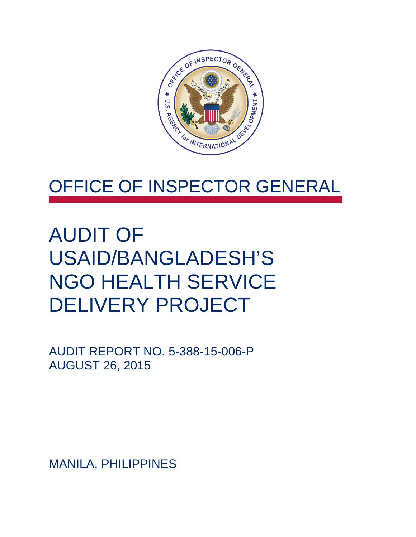

### OFFICE OF INSPECTOR GENERAL

## AUDIT OF USAID/BANGLADESH'S NGO HEALTH SERVICE DELIVERY PROJECT

AUDIT REPORT NO. 5-388-15-006-P AUGUST 26, 2015

MANILA, PHILIPPINES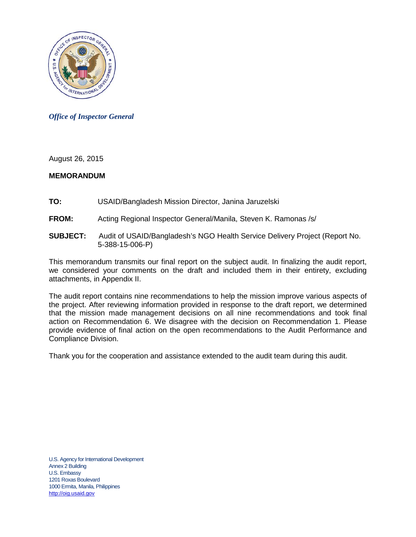

*Office of Inspector General*

August 26, 2015

#### **MEMORANDUM**

- **TO:** USAID/Bangladesh Mission Director, Janina Jaruzelski
- **FROM:** Acting Regional Inspector General/Manila, Steven K. Ramonas /s/
- **SUBJECT:** Audit of USAID/Bangladesh's NGO Health Service Delivery Project (Report No. 5-388-15-006-P)

This memorandum transmits our final report on the subject audit. In finalizing the audit report, we considered your comments on the draft and included them in their entirety, excluding attachments, in Appendix II.

The audit report contains nine recommendations to help the mission improve various aspects of the project. After reviewing information provided in response to the draft report, we determined that the mission made management decisions on all nine recommendations and took final action on Recommendation 6. We disagree with the decision on Recommendation 1. Please provide evidence of final action on the open recommendations to the Audit Performance and Compliance Division.

Thank you for the cooperation and assistance extended to the audit team during this audit.

U.S. Agency for International Development Annex 2 Building U.S. Embassy 1201 Roxas Boulevard 1000 Ermita, Manila, Philippines [http://oig.usaid.gov](http://oig.usaid.gov/)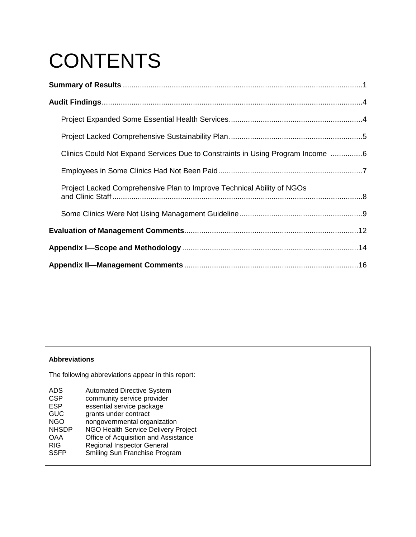# **CONTENTS**

| Clinics Could Not Expand Services Due to Constraints in Using Program Income 6 |  |
|--------------------------------------------------------------------------------|--|
|                                                                                |  |
| Project Lacked Comprehensive Plan to Improve Technical Ability of NGOs         |  |
|                                                                                |  |
|                                                                                |  |
|                                                                                |  |
|                                                                                |  |

#### **Abbreviations**

The following abbreviations appear in this report:

| <b>ADS</b>   | <b>Automated Directive System</b>    |
|--------------|--------------------------------------|
| <b>CSP</b>   | community service provider           |
| <b>ESP</b>   | essential service package            |
| <b>GUC</b>   | grants under contract                |
| <b>NGO</b>   | nongovernmental organization         |
| <b>NHSDP</b> | NGO Health Service Delivery Project  |
| <b>OAA</b>   | Office of Acquisition and Assistance |
| <b>RIG</b>   | <b>Regional Inspector General</b>    |
| <b>SSFP</b>  | Smiling Sun Franchise Program        |
|              |                                      |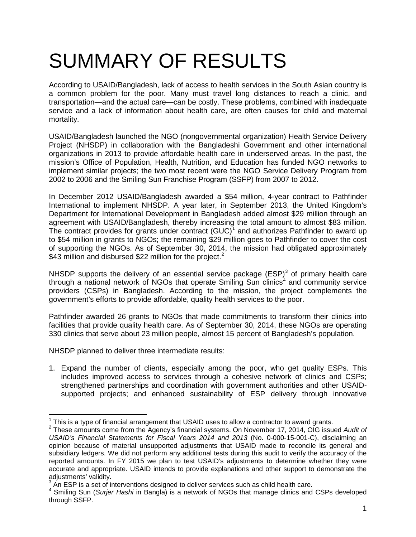# <span id="page-3-0"></span>SUMMARY OF RESULTS

According to USAID/Bangladesh, lack of access to health services in the South Asian country is a common problem for the poor. Many must travel long distances to reach a clinic, and transportation—and the actual care—can be costly. These problems, combined with inadequate service and a lack of information about health care, are often causes for child and maternal mortality.

USAID/Bangladesh launched the NGO (nongovernmental organization) Health Service Delivery Project (NHSDP) in collaboration with the Bangladeshi Government and other international organizations in 2013 to provide affordable health care in underserved areas. In the past, the mission's Office of Population, Health, Nutrition, and Education has funded NGO networks to implement similar projects; the two most recent were the NGO Service Delivery Program from 2002 to 2006 and the Smiling Sun Franchise Program (SSFP) from 2007 to 2012.

In December 2012 USAID/Bangladesh awarded a \$54 million, 4-year contract to Pathfinder International to implement NHSDP. A year later, in September 2013, the United Kingdom's Department for International Development in Bangladesh added almost \$29 million through an agreement with USAID/Bangladesh, thereby increasing the total amount to almost \$83 million. The contract provides for grants under contract  $(GUC)^1$  $(GUC)^1$  and authorizes Pathfinder to award up to \$54 million in grants to NGOs; the remaining \$29 million goes to Pathfinder to cover the cost of supporting the NGOs. As of September 30, 2014, the mission had obligated approximately \$43 million and disbursed \$[2](#page-3-2)2 million for the project.<sup>2</sup>

NHSDP supports the delivery of an essential service package  $(ESP)^3$  $(ESP)^3$  of primary health care through a national network of NGOs that operate Smiling Sun clinics<sup>[4](#page-3-4)</sup> and community service providers (CSPs) in Bangladesh. According to the mission, the project complements the government's efforts to provide affordable, quality health services to the poor.

Pathfinder awarded 26 grants to NGOs that made commitments to transform their clinics into facilities that provide quality health care. As of September 30, 2014, these NGOs are operating 330 clinics that serve about 23 million people, almost 15 percent of Bangladesh's population.

NHSDP planned to deliver three intermediate results:

1. Expand the number of clients, especially among the poor, who get quality ESPs. This includes improved access to services through a cohesive network of clinics and CSPs; strengthened partnerships and coordination with government authorities and other USAIDsupported projects; and enhanced sustainability of ESP delivery through innovative

<span id="page-3-2"></span><span id="page-3-1"></span><sup>&</sup>lt;sup>1</sup> This is a type of financial arrangement that USAID uses to allow a contractor to award grants.<br><sup>2</sup> These amounts come from the Agency's financial systems. On November 17, 2014, OIG issued *Audit of USAID's Financial Statements for Fiscal Years 2014 and 2013* (No. 0-000-15-001-C), disclaiming an opinion because of material unsupported adjustments that USAID made to reconcile its general and subsidiary ledgers. We did not perform any additional tests during this audit to verify the accuracy of the reported amounts. In FY 2015 we plan to test USAID's adjustments to determine whether they were accurate and appropriate. USAID intends to provide explanations and other support to demonstrate the adjustments' validity.

<span id="page-3-3"></span> $3\,$  An ESP is a set of interventions designed to deliver services such as child health care.

<span id="page-3-4"></span><sup>4</sup> Smiling Sun (*Surjer Hashi* in Bangla) is a network of NGOs that manage clinics and CSPs developed through SSFP.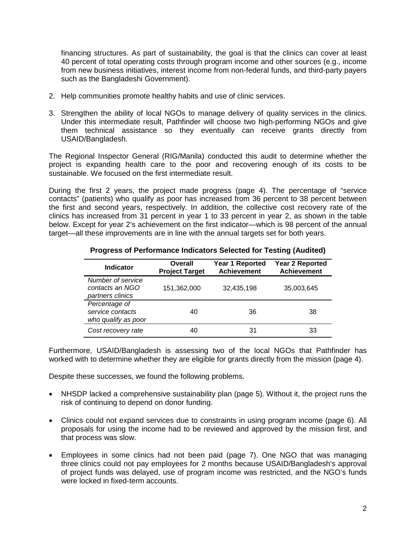financing structures. As part of sustainability, the goal is that the clinics can cover at least 40 percent of total operating costs through program income and other sources (e.g., income from new business initiatives, interest income from non-federal funds, and third-party payers such as the Bangladeshi Government).

- 2. Help communities promote healthy habits and use of clinic services.
- 3. Strengthen the ability of local NGOs to manage delivery of quality services in the clinics. Under this intermediate result, Pathfinder will choose two high-performing NGOs and give them technical assistance so they eventually can receive grants directly from USAID/Bangladesh.

The Regional Inspector General (RIG/Manila) conducted this audit to determine whether the project is expanding health care to the poor and recovering enough of its costs to be sustainable. We focused on the first intermediate result.

During the first 2 years, the project made progress (page [4\)](#page-6-1). The percentage of "service contacts" (patients) who qualify as poor has increased from 36 percent to 38 percent between the first and second years, respectively. In addition, the collective cost recovery rate of the clinics has increased from 31 percent in year 1 to 33 percent in year 2, as shown in the table below. Except for year 2's achievement on the first indicator—which is 98 percent of the annual target—all these improvements are in line with the annual targets set for both years.

| <b>Indicator</b>                                         | Overall<br><b>Project Target</b> | Year 1 Reported<br><b>Achievement</b> | <b>Year 2 Reported</b><br><b>Achievement</b> |
|----------------------------------------------------------|----------------------------------|---------------------------------------|----------------------------------------------|
| Number of service<br>contacts an NGO<br>partners clinics | 151,362,000                      | 32,435,198                            | 35,003,645                                   |
| Percentage of<br>service contacts<br>who qualify as poor | 40                               | 36                                    | 38                                           |
| Cost recovery rate                                       | 40                               | 31                                    | 33                                           |

#### **Progress of Performance Indicators Selected for Testing (Audited)**

Furthermore, USAID/Bangladesh is assessing two of the local NGOs that Pathfinder has worked with to determine whether they are eligible for grants directly from the mission (page [4\)](#page-6-2).

Despite these successes, we found the following problems.

- NHSDP lacked a comprehensive sustainability plan (page [5\)](#page-7-0). Without it, the project runs the risk of continuing to depend on donor funding.
- Clinics could not expand services due to constraints in using program income (page [6\)](#page-8-0). All proposals for using the income had to be reviewed and approved by the mission first, and that process was slow.
- Employees in some clinics had not been paid (page [7\)](#page-9-0). One NGO that was managing three clinics could not pay employees for 2 months because USAID/Bangladesh's approval of project funds was delayed, use of program income was restricted, and the NGO's funds were locked in fixed-term accounts.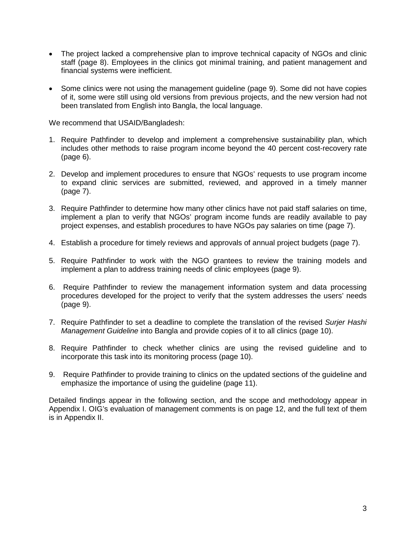- The project lacked a comprehensive plan to improve technical capacity of NGOs and clinic staff (page [8\)](#page-10-0). Employees in the clinics got minimal training, and patient management and financial systems were inefficient.
- Some clinics were not using the management guideline (page [9\)](#page-11-0). Some did not have copies of it, some were still using old versions from previous projects, and the new version had not been translated from English into Bangla, the local language.

We recommend that USAID/Bangladesh:

- 1. Require Pathfinder to develop and implement a comprehensive sustainability plan, which includes other methods to raise program income beyond the 40 percent cost-recovery rate (page [6\)](#page-8-1).
- 2. Develop and implement procedures to ensure that NGOs' requests to use program income to expand clinic services are submitted, reviewed, and approved in a timely manner (page [7\)](#page-9-1).
- 3. Require Pathfinder to determine how many other clinics have not paid staff salaries on time, implement a plan to verify that NGOs' program income funds are readily available to pay project expenses, and establish procedures to have NGOs pay salaries on time (page [7\)](#page-9-2).
- 4. Establish a procedure for timely reviews and approvals of annual project budgets (page [7\)](#page-9-3).
- 5. Require Pathfinder to work with the NGO grantees to review the training models and implement a plan to address training needs of clinic employees (page [9\)](#page-11-1).
- 6. Require Pathfinder to review the management information system and data processing procedures developed for the project to verify that the system addresses the users' needs (page [9\)](#page-11-2).
- 7. Require Pathfinder to set a deadline to complete the translation of the revised *Surjer Hashi Management Guideline* into Bangla and provide copies of it to all clinics (page [10\)](#page-12-0).
- 8. Require Pathfinder to check whether clinics are using the revised guideline and to incorporate this task into its monitoring process (page [10\)](#page-12-1).
- 9. Require Pathfinder to provide training to clinics on the updated sections of the guideline and emphasize the importance of using the guideline [\(page 11\).](#page-13-0)

Detailed findings appear in the following section, and the scope and methodology appear in Appendix I. OIG's evaluation of management comments is on page [12,](#page-14-0) and the full text of them is in Appendix II.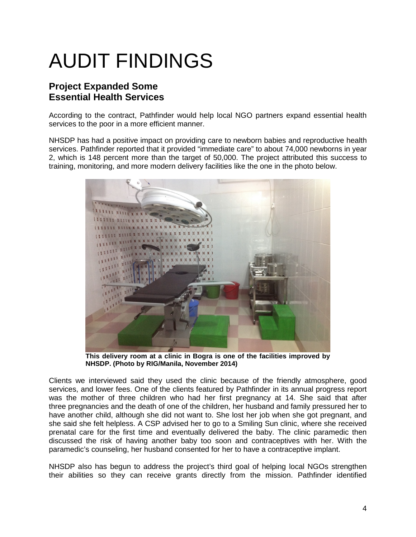# <span id="page-6-0"></span>AUDIT FINDINGS

### <span id="page-6-1"></span>**Project Expanded Some Essential Health Services**

According to the contract, Pathfinder would help local NGO partners expand essential health services to the poor in a more efficient manner.

NHSDP has had a positive impact on providing care to newborn babies and reproductive health services. Pathfinder reported that it provided "immediate care" to about 74,000 newborns in year 2, which is 148 percent more than the target of 50,000. The project attributed this success to training, monitoring, and more modern delivery facilities like the one in the photo below.



**This delivery room at a clinic in Bogra is one of the facilities improved by NHSDP. (Photo by RIG/Manila, November 2014)**

Clients we interviewed said they used the clinic because of the friendly atmosphere, good services, and lower fees. One of the clients featured by Pathfinder in its annual progress report was the mother of three children who had her first pregnancy at 14. She said that after three pregnancies and the death of one of the children, her husband and family pressured her to have another child, although she did not want to. She lost her job when she got pregnant, and she said she felt helpless. A CSP advised her to go to a Smiling Sun clinic, where she received prenatal care for the first time and eventually delivered the baby. The clinic paramedic then discussed the risk of having another baby too soon and contraceptives with her. With the paramedic's counseling, her husband consented for her to have a contraceptive implant.

<span id="page-6-2"></span>NHSDP also has begun to address the project's third goal of helping local NGOs strengthen their abilities so they can receive grants directly from the mission. Pathfinder identified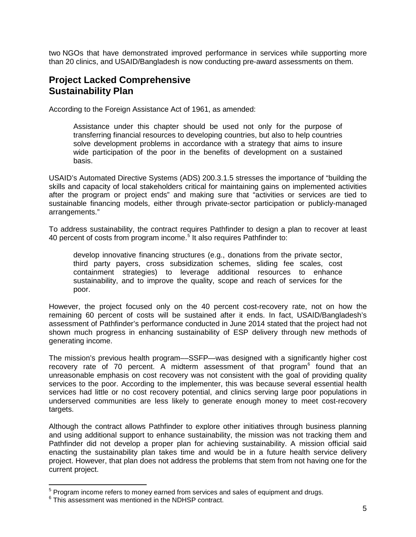two NGOs that have demonstrated improved performance in services while supporting more than 20 clinics, and USAID/Bangladesh is now conducting pre-award assessments on them.

#### <span id="page-7-0"></span>**Project Lacked Comprehensive Sustainability Plan**

According to the Foreign Assistance Act of 1961, as amended:

Assistance under this chapter should be used not only for the purpose of transferring financial resources to developing countries, but also to help countries solve development problems in accordance with a strategy that aims to insure wide participation of the poor in the benefits of development on a sustained basis.

USAID's Automated Directive Systems (ADS) 200.3.1.5 stresses the importance of "building the skills and capacity of local stakeholders critical for maintaining gains on implemented activities after the program or project ends" and making sure that "activities or services are tied to sustainable financing models, either through private-sector participation or publicly-managed arrangements."

To address sustainability, the contract requires Pathfinder to design a plan to recover at least 40 percent of costs from program income.<sup>[5](#page-7-1)</sup> It also requires Pathfinder to:

develop innovative financing structures (e.g., donations from the private sector, third party payers, cross subsidization schemes, sliding fee scales, cost containment strategies) to leverage additional resources to enhance sustainability, and to improve the quality, scope and reach of services for the poor.

However, the project focused only on the 40 percent cost-recovery rate, not on how the remaining 60 percent of costs will be sustained after it ends. In fact, USAID/Bangladesh's assessment of Pathfinder's performance conducted in June 2014 stated that the project had not shown much progress in enhancing sustainability of ESP delivery through new methods of generating income.

The mission's previous health program––SSFP—was designed with a significantly higher cost recovery rate of 70 percent. A midterm assessment of that program<sup>[6](#page-7-2)</sup> found that an unreasonable emphasis on cost recovery was not consistent with the goal of providing quality services to the poor. According to the implementer, this was because several essential health services had little or no cost recovery potential, and clinics serving large poor populations in underserved communities are less likely to generate enough money to meet cost-recovery targets.

Although the contract allows Pathfinder to explore other initiatives through business planning and using additional support to enhance sustainability, the mission was not tracking them and Pathfinder did not develop a proper plan for achieving sustainability. A mission official said enacting the sustainability plan takes time and would be in a future health service delivery project. However, that plan does not address the problems that stem from not having one for the current project.

<span id="page-7-1"></span> $5$  Program income refers to money earned from services and sales of equipment and drugs.

<span id="page-7-2"></span> $6$  This assessment was mentioned in the NDHSP contract.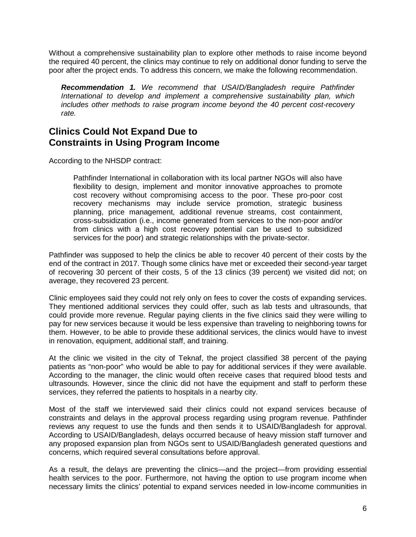Without a comprehensive sustainability plan to explore other methods to raise income beyond the required 40 percent, the clinics may continue to rely on additional donor funding to serve the poor after the project ends. To address this concern, we make the following recommendation.

<span id="page-8-1"></span>*Recommendation 1. We recommend that USAID/Bangladesh require Pathfinder International to develop and implement a comprehensive sustainability plan, which includes other methods to raise program income beyond the 40 percent cost-recovery rate.* 

#### <span id="page-8-0"></span>**Clinics Could Not Expand Due to Constraints in Using Program Income**

According to the NHSDP contract:

Pathfinder International in collaboration with its local partner NGOs will also have flexibility to design, implement and monitor innovative approaches to promote cost recovery without compromising access to the poor. These pro-poor cost recovery mechanisms may include service promotion, strategic business planning, price management, additional revenue streams, cost containment, cross-subsidization (i.e., income generated from services to the non-poor and/or from clinics with a high cost recovery potential can be used to subsidized services for the poor) and strategic relationships with the private-sector.

Pathfinder was supposed to help the clinics be able to recover 40 percent of their costs by the end of the contract in 2017. Though some clinics have met or exceeded their second-year target of recovering 30 percent of their costs, 5 of the 13 clinics (39 percent) we visited did not; on average, they recovered 23 percent.

Clinic employees said they could not rely only on fees to cover the costs of expanding services. They mentioned additional services they could offer, such as lab tests and ultrasounds, that could provide more revenue. Regular paying clients in the five clinics said they were willing to pay for new services because it would be less expensive than traveling to neighboring towns for them. However, to be able to provide these additional services, the clinics would have to invest in renovation, equipment, additional staff, and training.

At the clinic we visited in the city of Teknaf, the project classified 38 percent of the paying patients as "non-poor" who would be able to pay for additional services if they were available. According to the manager, the clinic would often receive cases that required blood tests and ultrasounds. However, since the clinic did not have the equipment and staff to perform these services, they referred the patients to hospitals in a nearby city.

Most of the staff we interviewed said their clinics could not expand services because of constraints and delays in the approval process regarding using program revenue. Pathfinder reviews any request to use the funds and then sends it to USAID/Bangladesh for approval. According to USAID/Bangladesh, delays occurred because of heavy mission staff turnover and any proposed expansion plan from NGOs sent to USAID/Bangladesh generated questions and concerns, which required several consultations before approval.

As a result, the delays are preventing the clinics—and the project—from providing essential health services to the poor. Furthermore, not having the option to use program income when necessary limits the clinics' potential to expand services needed in low-income communities in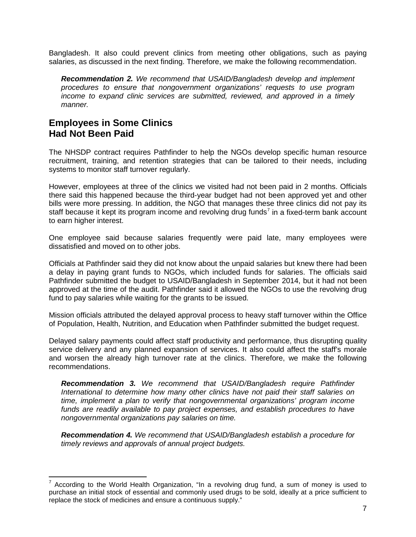Bangladesh. It also could prevent clinics from meeting other obligations, such as paying salaries, as discussed in the next finding. Therefore, we make the following recommendation.

<span id="page-9-1"></span>*Recommendation 2. We recommend that USAID/Bangladesh develop and implement procedures to ensure that nongovernment organizations' requests to use program income to expand clinic services are submitted, reviewed, and approved in a timely manner.* 

### <span id="page-9-0"></span>**Employees in Some Clinics Had Not Been Paid**

The NHSDP contract requires Pathfinder to help the NGOs develop specific human resource recruitment, training, and retention strategies that can be tailored to their needs, including systems to monitor staff turnover regularly.

However, employees at three of the clinics we visited had not been paid in 2 months. Officials there said this happened because the third-year budget had not been approved yet and other bills were more pressing. In addition, the NGO that manages these three clinics did not pay its staff because it kept its program income and revolving drug funds<sup>[7](#page-9-4)</sup> in a fixed-term bank account to earn higher interest.

One employee said because salaries frequently were paid late, many employees were dissatisfied and moved on to other jobs.

Officials at Pathfinder said they did not know about the unpaid salaries but knew there had been a delay in paying grant funds to NGOs, which included funds for salaries. The officials said Pathfinder submitted the budget to USAID/Bangladesh in September 2014, but it had not been approved at the time of the audit. Pathfinder said it allowed the NGOs to use the revolving drug fund to pay salaries while waiting for the grants to be issued.

Mission officials attributed the delayed approval process to heavy staff turnover within the Office of Population, Health, Nutrition, and Education when Pathfinder submitted the budget request.

Delayed salary payments could affect staff productivity and performance, thus disrupting quality service delivery and any planned expansion of services. It also could affect the staff's morale and worsen the already high turnover rate at the clinics. Therefore, we make the following recommendations.

<span id="page-9-2"></span>*Recommendation 3. We recommend that USAID/Bangladesh require Pathfinder International to determine how many other clinics have not paid their staff salaries on time, implement a plan to verify that nongovernmental organizations' program income funds are readily available to pay project expenses, and establish procedures to have nongovernmental organizations pay salaries on time.*

<span id="page-9-3"></span>*Recommendation 4. We recommend that USAID/Bangladesh establish a procedure for timely reviews and approvals of annual project budgets.* 

<span id="page-9-4"></span> $7$  According to the World Health Organization, "In a revolving drug fund, a sum of money is used to purchase an initial stock of essential and commonly used drugs to be sold, ideally at a price sufficient to replace the stock of medicines and ensure a continuous supply."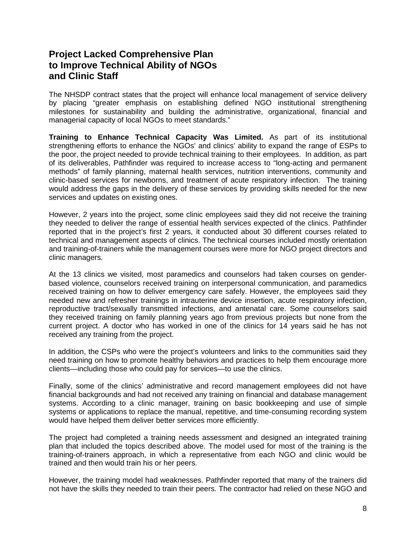#### <span id="page-10-0"></span>**Project Lacked Comprehensive Plan to Improve Technical Ability of NGOs and Clinic Staff**

The NHSDP contract states that the project will enhance local management of service delivery by placing "greater emphasis on establishing defined NGO institutional strengthening milestones for sustainability and building the administrative, organizational, financial and managerial capacity of local NGOs to meet standards."

**Training to Enhance Technical Capacity Was Limited.** As part of its institutional strengthening efforts to enhance the NGOs' and clinics' ability to expand the range of ESPs to the poor, the project needed to provide technical training to their employees. In addition, as part of its deliverables, Pathfinder was required to increase access to "long-acting and permanent methods" of family planning, maternal health services, nutrition interventions, community and clinic-based services for newborns, and treatment of acute respiratory infection. The training would address the gaps in the delivery of these services by providing skills needed for the new services and updates on existing ones.

However, 2 years into the project, some clinic employees said they did not receive the training they needed to deliver the range of essential health services expected of the clinics. Pathfinder reported that in the project's first 2 years, it conducted about 30 different courses related to technical and management aspects of clinics. The technical courses included mostly orientation and training-of-trainers while the management courses were more for NGO project directors and clinic managers.

At the 13 clinics we visited, most paramedics and counselors had taken courses on genderbased violence, counselors received training on interpersonal communication, and paramedics received training on how to deliver emergency care safely. However, the employees said they needed new and refresher trainings in intrauterine device insertion, acute respiratory infection, reproductive tract/sexually transmitted infections, and antenatal care. Some counselors said they received training on family planning years ago from previous projects but none from the current project. A doctor who has worked in one of the clinics for 14 years said he has not received any training from the project.

In addition, the CSPs who were the project's volunteers and links to the communities said they need training on how to promote healthy behaviors and practices to help them encourage more clients—including those who could pay for services—to use the clinics.

Finally, some of the clinics' administrative and record management employees did not have financial backgrounds and had not received any training on financial and database management systems. According to a clinic manager, training on basic bookkeeping and use of simple systems or applications to replace the manual, repetitive, and time-consuming recording system would have helped them deliver better services more efficiently.

The project had completed a training needs assessment and designed an integrated training plan that included the topics described above. The model used for most of the training is the training-of-trainers approach, in which a representative from each NGO and clinic would be trained and then would train his or her peers.

However, the training model had weaknesses. Pathfinder reported that many of the trainers did not have the skills they needed to train their peers. The contractor had relied on these NGO and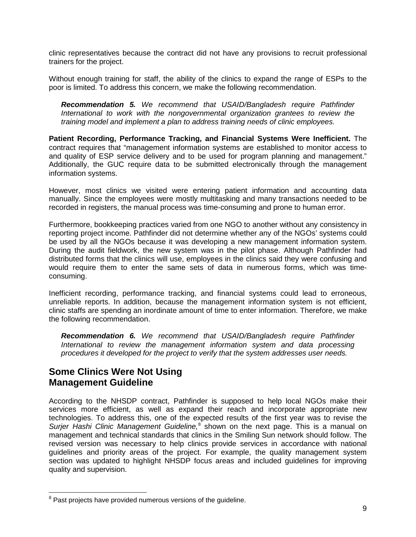clinic representatives because the contract did not have any provisions to recruit professional trainers for the project.

Without enough training for staff, the ability of the clinics to expand the range of ESPs to the poor is limited. To address this concern, we make the following recommendation.

<span id="page-11-1"></span>*Recommendation 5. We recommend that USAID/Bangladesh require Pathfinder International to work with the nongovernmental organization grantees to review the training model and implement a plan to address training needs of clinic employees.*

**Patient Recording, Performance Tracking, and Financial Systems Were Inefficient.** The contract requires that "management information systems are established to monitor access to and quality of ESP service delivery and to be used for program planning and management." Additionally, the GUC require data to be submitted electronically through the management information systems.

However, most clinics we visited were entering patient information and accounting data manually. Since the employees were mostly multitasking and many transactions needed to be recorded in registers, the manual process was time-consuming and prone to human error.

Furthermore, bookkeeping practices varied from one NGO to another without any consistency in reporting project income. Pathfinder did not determine whether any of the NGOs' systems could be used by all the NGOs because it was developing a new management information system. During the audit fieldwork, the new system was in the pilot phase. Although Pathfinder had distributed forms that the clinics will use, employees in the clinics said they were confusing and would require them to enter the same sets of data in numerous forms, which was timeconsuming.

Inefficient recording, performance tracking, and financial systems could lead to erroneous, unreliable reports. In addition, because the management information system is not efficient, clinic staffs are spending an inordinate amount of time to enter information. Therefore, we make the following recommendation.

<span id="page-11-2"></span>*Recommendation 6. We recommend that USAID/Bangladesh require Pathfinder International to review the management information system and data processing procedures it developed for the project to verify that the system addresses user needs.* 

### <span id="page-11-0"></span>**Some Clinics Were Not Using Management Guideline**

According to the NHSDP contract, Pathfinder is supposed to help local NGOs make their services more efficient, as well as expand their reach and incorporate appropriate new technologies. To address this, one of the expected results of the first year was to revise the *Surjer Hashi Clinic Management Guideline*,<sup>[8](#page-11-3)</sup> shown on the next page. This is a manual on management and technical standards that clinics in the Smiling Sun network should follow. The revised version was necessary to help clinics provide services in accordance with national guidelines and priority areas of the project. For example, the quality management system section was updated to highlight NHSDP focus areas and included guidelines for improving quality and supervision.

<span id="page-11-3"></span> $8$  Past projects have provided numerous versions of the guideline.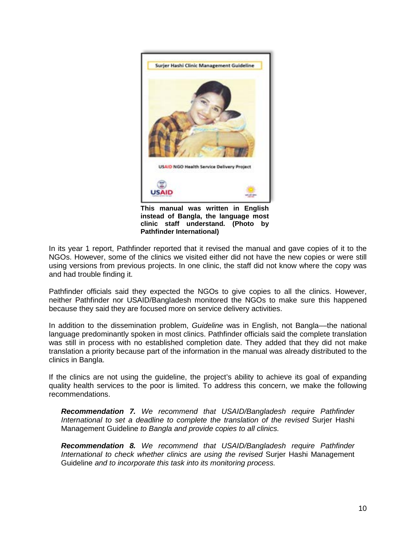

**This manual was written in English instead of Bangla, the language most clinic staff understand***.* **(Photo by Pathfinder International)** 

In its year 1 report, Pathfinder reported that it revised the manual and gave copies of it to the NGOs. However, some of the clinics we visited either did not have the new copies or were still using versions from previous projects. In one clinic, the staff did not know where the copy was and had trouble finding it.

Pathfinder officials said they expected the NGOs to give copies to all the clinics. However, neither Pathfinder nor USAID/Bangladesh monitored the NGOs to make sure this happened because they said they are focused more on service delivery activities.

In addition to the dissemination problem, *Guideline* was in English, not Bangla––the national language predominantly spoken in most clinics. Pathfinder officials said the complete translation was still in process with no established completion date. They added that they did not make translation a priority because part of the information in the manual was already distributed to the clinics in Bangla.

If the clinics are not using the guideline, the project's ability to achieve its goal of expanding quality health services to the poor is limited. To address this concern, we make the following recommendations.

<span id="page-12-0"></span>*Recommendation 7. We recommend that USAID/Bangladesh require Pathfinder International to set a deadline to complete the translation of the revised Surjer Hashi* Management Guideline *to Bangla and provide copies to all clinics.* 

<span id="page-12-1"></span>*Recommendation 8. We recommend that USAID/Bangladesh require Pathfinder International to check whether clinics are using the revised* Surjer Hashi Management Guideline *and to incorporate this task into its monitoring process.*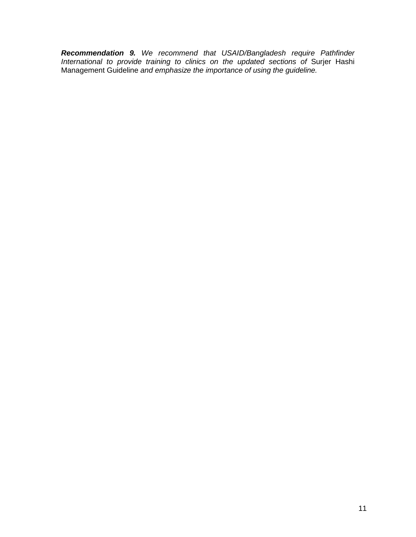<span id="page-13-0"></span>*Recommendation 9. We recommend that USAID/Bangladesh require Pathfinder International to provide training to clinics on the updated sections of* Surjer Hashi Management Guideline *and emphasize the importance of using the guideline.*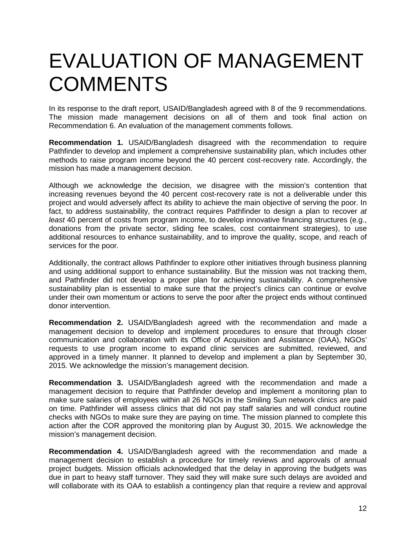## <span id="page-14-0"></span>EVALUATION OF MANAGEMENT **COMMENTS**

In its response to the draft report, USAID/Bangladesh agreed with 8 of the 9 recommendations. The mission made management decisions on all of them and took final action on Recommendation 6. An evaluation of the management comments follows.

**Recommendation 1.** USAID/Bangladesh disagreed with the recommendation to require Pathfinder to develop and implement a comprehensive sustainability plan, which includes other methods to raise program income beyond the 40 percent cost-recovery rate. Accordingly, the mission has made a management decision.

Although we acknowledge the decision, we disagree with the mission's contention that increasing revenues beyond the 40 percent cost-recovery rate is not a deliverable under this project and would adversely affect its ability to achieve the main objective of serving the poor. In fact, to address sustainability, the contract requires Pathfinder to design a plan to recover *at least* 40 percent of costs from program income, to develop innovative financing structures (e.g., donations from the private sector, sliding fee scales, cost containment strategies), to use additional resources to enhance sustainability, and to improve the quality, scope, and reach of services for the poor.

Additionally, the contract allows Pathfinder to explore other initiatives through business planning and using additional support to enhance sustainability. But the mission was not tracking them, and Pathfinder did not develop a proper plan for achieving sustainability. A comprehensive sustainability plan is essential to make sure that the project's clinics can continue or evolve under their own momentum or actions to serve the poor after the project ends without continued donor intervention.

**Recommendation 2.** USAID/Bangladesh agreed with the recommendation and made a management decision to develop and implement procedures to ensure that through closer communication and collaboration with its Office of Acquisition and Assistance (OAA), NGOs' requests to use program income to expand clinic services are submitted, reviewed, and approved in a timely manner. It planned to develop and implement a plan by September 30, 2015. We acknowledge the mission's management decision.

**Recommendation 3.** USAID/Bangladesh agreed with the recommendation and made a management decision to require that Pathfinder develop and implement a monitoring plan to make sure salaries of employees within all 26 NGOs in the Smiling Sun network clinics are paid on time. Pathfinder will assess clinics that did not pay staff salaries and will conduct routine checks with NGOs to make sure they are paying on time. The mission planned to complete this action after the COR approved the monitoring plan by August 30, 2015. We acknowledge the mission's management decision.

**Recommendation 4.** USAID/Bangladesh agreed with the recommendation and made a management decision to establish a procedure for timely reviews and approvals of annual project budgets. Mission officials acknowledged that the delay in approving the budgets was due in part to heavy staff turnover. They said they will make sure such delays are avoided and will collaborate with its OAA to establish a contingency plan that require a review and approval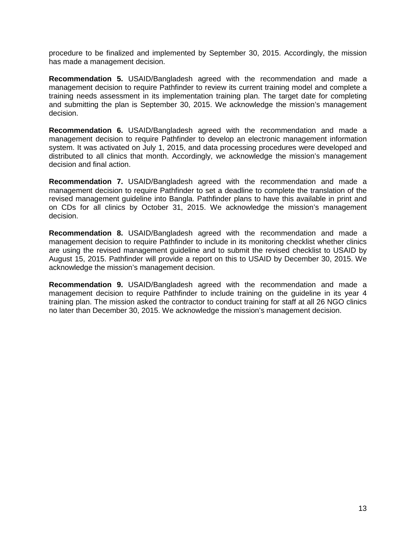procedure to be finalized and implemented by September 30, 2015. Accordingly, the mission has made a management decision.

**Recommendation 5.** USAID/Bangladesh agreed with the recommendation and made a management decision to require Pathfinder to review its current training model and complete a training needs assessment in its implementation training plan. The target date for completing and submitting the plan is September 30, 2015. We acknowledge the mission's management decision.

**Recommendation 6.** USAID/Bangladesh agreed with the recommendation and made a management decision to require Pathfinder to develop an electronic management information system. It was activated on July 1, 2015, and data processing procedures were developed and distributed to all clinics that month. Accordingly, we acknowledge the mission's management decision and final action.

**Recommendation 7.** USAID/Bangladesh agreed with the recommendation and made a management decision to require Pathfinder to set a deadline to complete the translation of the revised management guideline into Bangla. Pathfinder plans to have this available in print and on CDs for all clinics by October 31, 2015. We acknowledge the mission's management decision.

**Recommendation 8.** USAID/Bangladesh agreed with the recommendation and made a management decision to require Pathfinder to include in its monitoring checklist whether clinics are using the revised management guideline and to submit the revised checklist to USAID by August 15, 2015. Pathfinder will provide a report on this to USAID by December 30, 2015. We acknowledge the mission's management decision.

**Recommendation 9.** USAID/Bangladesh agreed with the recommendation and made a management decision to require Pathfinder to include training on the guideline in its year 4 training plan. The mission asked the contractor to conduct training for staff at all 26 NGO clinics no later than December 30, 2015. We acknowledge the mission's management decision.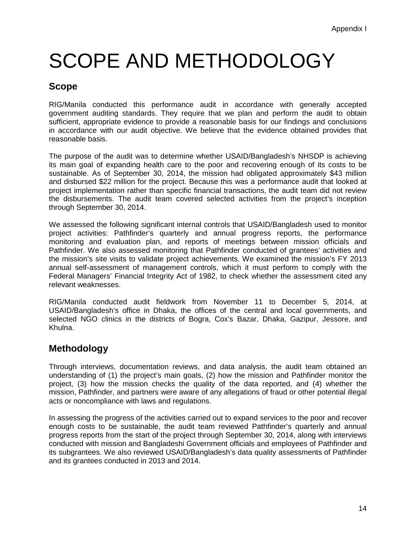## <span id="page-16-0"></span>SCOPE AND METHODOLOGY

### **Scope**

RIG/Manila conducted this performance audit in accordance with generally accepted government auditing standards. They require that we plan and perform the audit to obtain sufficient, appropriate evidence to provide a reasonable basis for our findings and conclusions in accordance with our audit objective. We believe that the evidence obtained provides that reasonable basis.

The purpose of the audit was to determine whether USAID/Bangladesh's NHSDP is achieving its main goal of expanding health care to the poor and recovering enough of its costs to be sustainable. As of September 30, 2014, the mission had obligated approximately \$43 million and disbursed \$22 million for the project. Because this was a performance audit that looked at project implementation rather than specific financial transactions, the audit team did not review the disbursements. The audit team covered selected activities from the project's inception through September 30, 2014.

We assessed the following significant internal controls that USAID/Bangladesh used to monitor project activities: Pathfinder's quarterly and annual progress reports, the performance monitoring and evaluation plan, and reports of meetings between mission officials and Pathfinder. We also assessed monitoring that Pathfinder conducted of grantees' activities and the mission's site visits to validate project achievements. We examined the mission's FY 2013 annual self-assessment of management controls, which it must perform to comply with the Federal Managers' Financial Integrity Act of 1982, to check whether the assessment cited any relevant weaknesses.

RIG/Manila conducted audit fieldwork from November 11 to December 5, 2014, at USAID/Bangladesh's office in Dhaka, the offices of the central and local governments, and selected NGO clinics in the districts of Bogra, Cox's Bazar, Dhaka, Gazipur, Jessore, and Khulna.

### **Methodology**

Through interviews, documentation reviews, and data analysis, the audit team obtained an understanding of (1) the project's main goals, (2) how the mission and Pathfinder monitor the project, (3) how the mission checks the quality of the data reported, and (4) whether the mission, Pathfinder, and partners were aware of any allegations of fraud or other potential illegal acts or noncompliance with laws and regulations.

In assessing the progress of the activities carried out to expand services to the poor and recover enough costs to be sustainable, the audit team reviewed Pathfinder's quarterly and annual progress reports from the start of the project through September 30, 2014, along with interviews conducted with mission and Bangladeshi Government officials and employees of Pathfinder and its subgrantees. We also reviewed USAID/Bangladesh's data quality assessments of Pathfinder and its grantees conducted in 2013 and 2014.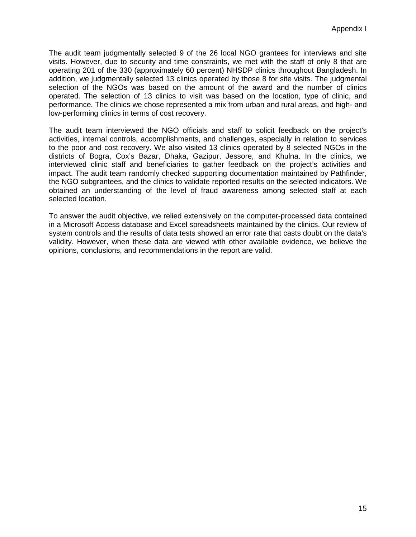The audit team judgmentally selected 9 of the 26 local NGO grantees for interviews and site visits. However, due to security and time constraints, we met with the staff of only 8 that are operating 201 of the 330 (approximately 60 percent) NHSDP clinics throughout Bangladesh. In addition, we judgmentally selected 13 clinics operated by those 8 for site visits. The judgmental selection of the NGOs was based on the amount of the award and the number of clinics operated. The selection of 13 clinics to visit was based on the location, type of clinic, and performance. The clinics we chose represented a mix from urban and rural areas, and high- and low-performing clinics in terms of cost recovery.

The audit team interviewed the NGO officials and staff to solicit feedback on the project's activities, internal controls, accomplishments, and challenges, especially in relation to services to the poor and cost recovery. We also visited 13 clinics operated by 8 selected NGOs in the districts of Bogra, Cox's Bazar, Dhaka, Gazipur, Jessore, and Khulna. In the clinics, we interviewed clinic staff and beneficiaries to gather feedback on the project's activities and impact. The audit team randomly checked supporting documentation maintained by Pathfinder, the NGO subgrantees, and the clinics to validate reported results on the selected indicators. We obtained an understanding of the level of fraud awareness among selected staff at each selected location.

To answer the audit objective, we relied extensively on the computer-processed data contained in a Microsoft Access database and Excel spreadsheets maintained by the clinics. Our review of system controls and the results of data tests showed an error rate that casts doubt on the data's validity. However, when these data are viewed with other available evidence, we believe the opinions, conclusions, and recommendations in the report are valid.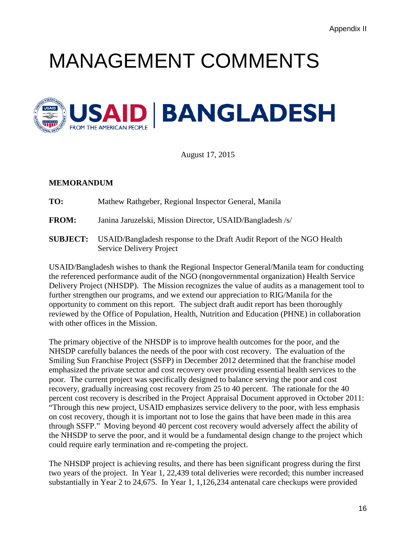## <span id="page-18-0"></span>MANAGEMENT COMMENTS



August 17, 2015

#### **MEMORANDUM**

**TO:** Mathew Rathgeber, Regional Inspector General, Manila

**FROM:** Janina Jaruzelski, Mission Director, USAID/Bangladesh /s/

**SUBJECT:** USAID/Bangladesh response to the Draft Audit Report of the NGO Health Service Delivery Project

USAID/Bangladesh wishes to thank the Regional Inspector General/Manila team for conducting the referenced performance audit of the NGO (nongovernmental organization) Health Service Delivery Project (NHSDP). The Mission recognizes the value of audits as a management tool to further strengthen our programs, and we extend our appreciation to RIG/Manila for the opportunity to comment on this report. The subject draft audit report has been thoroughly reviewed by the Office of Population, Health, Nutrition and Education (PHNE) in collaboration with other offices in the Mission.

The primary objective of the NHSDP is to improve health outcomes for the poor, and the NHSDP carefully balances the needs of the poor with cost recovery. The evaluation of the Smiling Sun Franchise Project (SSFP) in December 2012 determined that the franchise model emphasized the private sector and cost recovery over providing essential health services to the poor. The current project was specifically designed to balance serving the poor and cost recovery, gradually increasing cost recovery from 25 to 40 percent. The rationale for the 40 percent cost recovery is described in the Project Appraisal Document approved in October 2011: "Through this new project, USAID emphasizes service delivery to the poor, with less emphasis on cost recovery, though it is important not to lose the gains that have been made in this area through SSFP." Moving beyond 40 percent cost recovery would adversely affect the ability of the NHSDP to serve the poor, and it would be a fundamental design change to the project which could require early termination and re-competing the project.

The NHSDP project is achieving results, and there has been significant progress during the first two years of the project. In Year 1, 22,439 total deliveries were recorded; this number increased substantially in Year 2 to 24,675. In Year 1, 1,126,234 antenatal care checkups were provided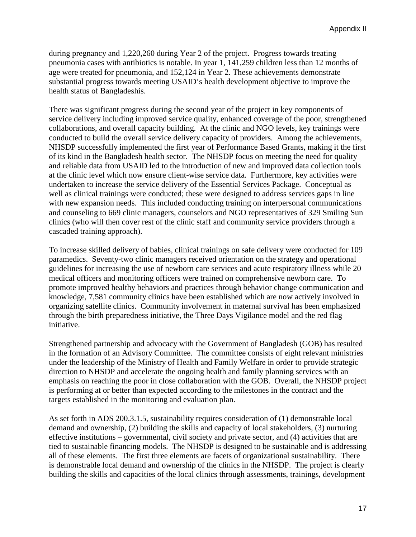during pregnancy and 1,220,260 during Year 2 of the project. Progress towards treating pneumonia cases with antibiotics is notable. In year 1, 141,259 children less than 12 months of age were treated for pneumonia, and 152,124 in Year 2. These achievements demonstrate substantial progress towards meeting USAID's health development objective to improve the health status of Bangladeshis.

There was significant progress during the second year of the project in key components of service delivery including improved service quality, enhanced coverage of the poor, strengthened collaborations, and overall capacity building. At the clinic and NGO levels, key trainings were conducted to build the overall service delivery capacity of providers. Among the achievements, NHSDP successfully implemented the first year of Performance Based Grants, making it the first of its kind in the Bangladesh health sector. The NHSDP focus on meeting the need for quality and reliable data from USAID led to the introduction of new and improved data collection tools at the clinic level which now ensure client-wise service data. Furthermore, key activities were undertaken to increase the service delivery of the Essential Services Package. Conceptual as well as clinical trainings were conducted; these were designed to address services gaps in line with new expansion needs. This included conducting training on interpersonal communications and counseling to 669 clinic managers, counselors and NGO representatives of 329 Smiling Sun clinics (who will then cover rest of the clinic staff and community service providers through a cascaded training approach).

To increase skilled delivery of babies, clinical trainings on safe delivery were conducted for 109 paramedics. Seventy-two clinic managers received orientation on the strategy and operational guidelines for increasing the use of newborn care services and acute respiratory illness while 20 medical officers and monitoring officers were trained on comprehensive newborn care. To promote improved healthy behaviors and practices through behavior change communication and knowledge, 7,581 community clinics have been established which are now actively involved in organizing satellite clinics. Community involvement in maternal survival has been emphasized through the birth preparedness initiative, the Three Days Vigilance model and the red flag initiative.

Strengthened partnership and advocacy with the Government of Bangladesh (GOB) has resulted in the formation of an Advisory Committee. The committee consists of eight relevant ministries under the leadership of the Ministry of Health and Family Welfare in order to provide strategic direction to NHSDP and accelerate the ongoing health and family planning services with an emphasis on reaching the poor in close collaboration with the GOB. Overall, the NHSDP project is performing at or better than expected according to the milestones in the contract and the targets established in the monitoring and evaluation plan.

As set forth in ADS 200.3.1.5, sustainability requires consideration of (1) demonstrable local demand and ownership, (2) building the skills and capacity of local stakeholders, (3) nurturing effective institutions – governmental, civil society and private sector, and (4) activities that are tied to sustainable financing models. The NHSDP is designed to be sustainable and is addressing all of these elements. The first three elements are facets of organizational sustainability. There is demonstrable local demand and ownership of the clinics in the NHSDP. The project is clearly building the skills and capacities of the local clinics through assessments, trainings, development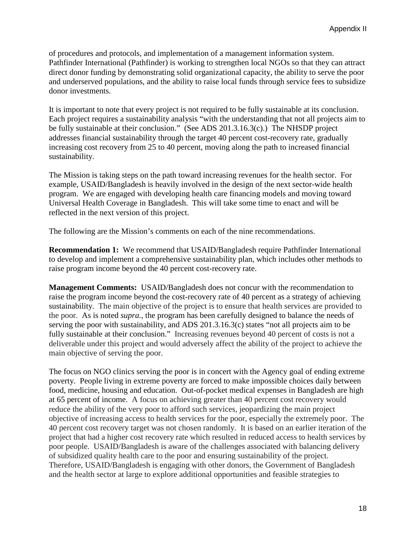of procedures and protocols, and implementation of a management information system. Pathfinder International (Pathfinder) is working to strengthen local NGOs so that they can attract direct donor funding by demonstrating solid organizational capacity, the ability to serve the poor and underserved populations, and the ability to raise local funds through service fees to subsidize donor investments.

It is important to note that every project is not required to be fully sustainable at its conclusion. Each project requires a sustainability analysis "with the understanding that not all projects aim to be fully sustainable at their conclusion." (See ADS 201.3.16.3(c).) The NHSDP project addresses financial sustainability through the target 40 percent cost-recovery rate, gradually increasing cost recovery from 25 to 40 percent, moving along the path to increased financial sustainability.

The Mission is taking steps on the path toward increasing revenues for the health sector. For example, USAID/Bangladesh is heavily involved in the design of the next sector-wide health program. We are engaged with developing health care financing models and moving toward Universal Health Coverage in Bangladesh. This will take some time to enact and will be reflected in the next version of this project.

The following are the Mission's comments on each of the nine recommendations.

**Recommendation 1:** We recommend that USAID/Bangladesh require Pathfinder International to develop and implement a comprehensive sustainability plan, which includes other methods to raise program income beyond the 40 percent cost-recovery rate.

**Management Comments:** USAID/Bangladesh does not concur with the recommendation to raise the program income beyond the cost-recovery rate of 40 percent as a strategy of achieving sustainability. The main objective of the project is to ensure that health services are provided to the poor. As is noted *supra.*, the program has been carefully designed to balance the needs of serving the poor with sustainability, and ADS 201.3.16.3(c) states "not all projects aim to be fully sustainable at their conclusion." Increasing revenues beyond 40 percent of costs is not a deliverable under this project and would adversely affect the ability of the project to achieve the main objective of serving the poor.

The focus on NGO clinics serving the poor is in concert with the Agency goal of ending extreme poverty. People living in extreme poverty are forced to make impossible choices daily between food, medicine, housing and education. Out-of-pocket medical expenses in Bangladesh are high at 65 percent of income. A focus on achieving greater than 40 percent cost recovery would reduce the ability of the very poor to afford such services, jeopardizing the main project objective of increasing access to health services for the poor, especially the extremely poor. The 40 percent cost recovery target was not chosen randomly. It is based on an earlier iteration of the project that had a higher cost recovery rate which resulted in reduced access to health services by poor people. USAID/Bangladesh is aware of the challenges associated with balancing delivery of subsidized quality health care to the poor and ensuring sustainability of the project. Therefore, USAID/Bangladesh is engaging with other donors, the Government of Bangladesh and the health sector at large to explore additional opportunities and feasible strategies to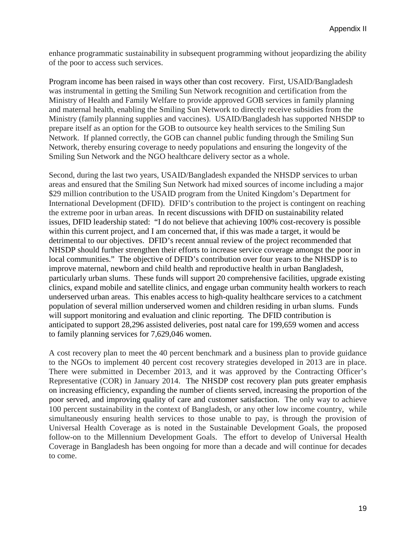enhance programmatic sustainability in subsequent programming without jeopardizing the ability of the poor to access such services.

Program income has been raised in ways other than cost recovery. First, USAID/Bangladesh was instrumental in getting the Smiling Sun Network recognition and certification from the Ministry of Health and Family Welfare to provide approved GOB services in family planning and maternal health, enabling the Smiling Sun Network to directly receive subsidies from the Ministry (family planning supplies and vaccines). USAID/Bangladesh has supported NHSDP to prepare itself as an option for the GOB to outsource key health services to the Smiling Sun Network. If planned correctly, the GOB can channel public funding through the Smiling Sun Network, thereby ensuring coverage to needy populations and ensuring the longevity of the Smiling Sun Network and the NGO healthcare delivery sector as a whole.

Second, during the last two years, USAID/Bangladesh expanded the NHSDP services to urban areas and ensured that the Smiling Sun Network had mixed sources of income including a major \$29 million contribution to the USAID program from the United Kingdom's Department for International Development (DFID). DFID's contribution to the project is contingent on reaching the extreme poor in urban areas. In recent discussions with DFID on sustainability related issues, DFID leadership stated: "I do not believe that achieving 100% cost-recovery is possible within this current project, and I am concerned that, if this was made a target, it would be detrimental to our objectives. DFID's recent annual review of the project recommended that NHSDP should further strengthen their efforts to increase service coverage amongst the poor in local communities." The objective of DFID's contribution over four years to the NHSDP is to improve maternal, newborn and child health and reproductive health in urban Bangladesh, particularly urban slums. These funds will support 20 comprehensive facilities, upgrade existing clinics, expand mobile and satellite clinics, and engage urban community health workers to reach underserved urban areas. This enables access to high-quality healthcare services to a catchment population of several million underserved women and children residing in urban slums. Funds will support monitoring and evaluation and clinic reporting. The DFID contribution is anticipated to support 28,296 assisted deliveries, post natal care for 199,659 women and access to family planning services for 7,629,046 women.

A cost recovery plan to meet the 40 percent benchmark and a business plan to provide guidance to the NGOs to implement 40 percent cost recovery strategies developed in 2013 are in place. There were submitted in December 2013, and it was approved by the Contracting Officer's Representative (COR) in January 2014. The NHSDP cost recovery plan puts greater emphasis on increasing efficiency, expanding the number of clients served, increasing the proportion of the poor served, and improving quality of care and customer satisfaction. The only way to achieve 100 percent sustainability in the context of Bangladesh, or any other low income country, while simultaneously ensuring health services to those unable to pay, is through the provision of Universal Health Coverage as is noted in the Sustainable Development Goals, the proposed follow-on to the Millennium Development Goals. The effort to develop of Universal Health Coverage in Bangladesh has been ongoing for more than a decade and will continue for decades to come.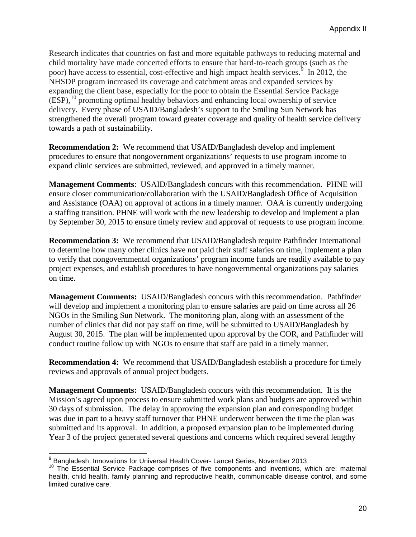Research indicates that countries on fast and more equitable pathways to reducing maternal and child mortality have made concerted efforts to ensure that hard-to-reach groups (such as the poor) have access to essential, cost-effective and high impact health services. $\frac{3}{5}$  In 2012, the NHSDP program increased its coverage and catchment areas and expanded services by expanding the client base, especially for the poor to obtain the Essential Service Package  $(ESP, <sup>10</sup>$  $(ESP, <sup>10</sup>$  $(ESP, <sup>10</sup>$  promoting optimal healthy behaviors and enhancing local ownership of service delivery. Every phase of USAID/Bangladesh's support to the Smiling Sun Network has strengthened the overall program toward greater coverage and quality of health service delivery towards a path of sustainability.

**Recommendation 2:** We recommend that USAID/Bangladesh develop and implement procedures to ensure that nongovernment organizations' requests to use program income to expand clinic services are submitted, reviewed, and approved in a timely manner.

**Management Comments**: USAID/Bangladesh concurs with this recommendation. PHNE will ensure closer communication/collaboration with the USAID/Bangladesh Office of Acquisition and Assistance (OAA) on approval of actions in a timely manner. OAA is currently undergoing a staffing transition. PHNE will work with the new leadership to develop and implement a plan by September 30, 2015 to ensure timely review and approval of requests to use program income.

**Recommendation 3:** We recommend that USAID/Bangladesh require Pathfinder International to determine how many other clinics have not paid their staff salaries on time, implement a plan to verify that nongovernmental organizations' program income funds are readily available to pay project expenses, and establish procedures to have nongovernmental organizations pay salaries on time.

**Management Comments:** USAID/Bangladesh concurs with this recommendation. Pathfinder will develop and implement a monitoring plan to ensure salaries are paid on time across all 26 NGOs in the Smiling Sun Network. The monitoring plan, along with an assessment of the number of clinics that did not pay staff on time, will be submitted to USAID/Bangladesh by August 30, 2015. The plan will be implemented upon approval by the COR, and Pathfinder will conduct routine follow up with NGOs to ensure that staff are paid in a timely manner.

**Recommendation 4:** We recommend that USAID/Bangladesh establish a procedure for timely reviews and approvals of annual project budgets.

**Management Comments:** USAID/Bangladesh concurs with this recommendation. It is the Mission's agreed upon process to ensure submitted work plans and budgets are approved within 30 days of submission. The delay in approving the expansion plan and corresponding budget was due in part to a heavy staff turnover that PHNE underwent between the time the plan was submitted and its approval. In addition, a proposed expansion plan to be implemented during Year 3 of the project generated several questions and concerns which required several lengthy

<span id="page-22-0"></span><sup>&</sup>lt;sup>9</sup> Bangladesh: Innovations for Universal Health Cover- Lancet Series, November 2013

<span id="page-22-1"></span><sup>&</sup>lt;sup>10</sup> The Essential Service Package comprises of five components and inventions, which are: maternal health, child health, family planning and reproductive health, communicable disease control, and some limited curative care.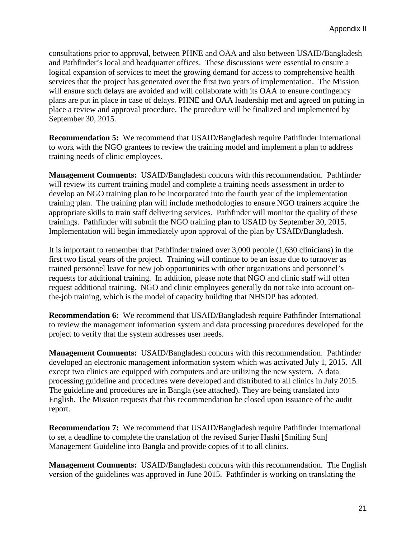consultations prior to approval, between PHNE and OAA and also between USAID/Bangladesh and Pathfinder's local and headquarter offices. These discussions were essential to ensure a logical expansion of services to meet the growing demand for access to comprehensive health services that the project has generated over the first two years of implementation. The Mission will ensure such delays are avoided and will collaborate with its OAA to ensure contingency plans are put in place in case of delays. PHNE and OAA leadership met and agreed on putting in place a review and approval procedure. The procedure will be finalized and implemented by September 30, 2015.

**Recommendation 5:** We recommend that USAID/Bangladesh require Pathfinder International to work with the NGO grantees to review the training model and implement a plan to address training needs of clinic employees.

**Management Comments:** USAID/Bangladesh concurs with this recommendation. Pathfinder will review its current training model and complete a training needs assessment in order to develop an NGO training plan to be incorporated into the fourth year of the implementation training plan. The training plan will include methodologies to ensure NGO trainers acquire the appropriate skills to train staff delivering services. Pathfinder will monitor the quality of these trainings. Pathfinder will submit the NGO training plan to USAID by September 30, 2015. Implementation will begin immediately upon approval of the plan by USAID/Bangladesh.

It is important to remember that Pathfinder trained over 3,000 people (1,630 clinicians) in the first two fiscal years of the project. Training will continue to be an issue due to turnover as trained personnel leave for new job opportunities with other organizations and personnel's requests for additional training. In addition, please note that NGO and clinic staff will often request additional training. NGO and clinic employees generally do not take into account onthe-job training, which is the model of capacity building that NHSDP has adopted.

**Recommendation 6:** We recommend that USAID/Bangladesh require Pathfinder International to review the management information system and data processing procedures developed for the project to verify that the system addresses user needs.

**Management Comments:** USAID/Bangladesh concurs with this recommendation. Pathfinder developed an electronic management information system which was activated July 1, 2015. All except two clinics are equipped with computers and are utilizing the new system. A data processing guideline and procedures were developed and distributed to all clinics in July 2015. The guideline and procedures are in Bangla (see attached). They are being translated into English. The Mission requests that this recommendation be closed upon issuance of the audit report.

**Recommendation 7:** We recommend that USAID/Bangladesh require Pathfinder International to set a deadline to complete the translation of the revised Surjer Hashi [Smiling Sun] Management Guideline into Bangla and provide copies of it to all clinics.

**Management Comments:** USAID/Bangladesh concurs with this recommendation. The English version of the guidelines was approved in June 2015. Pathfinder is working on translating the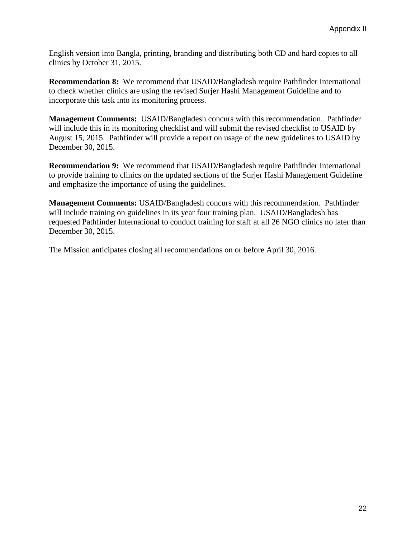English version into Bangla, printing, branding and distributing both CD and hard copies to all clinics by October 31, 2015.

**Recommendation 8:** We recommend that USAID/Bangladesh require Pathfinder International to check whether clinics are using the revised Surjer Hashi Management Guideline and to incorporate this task into its monitoring process.

**Management Comments:** USAID/Bangladesh concurs with this recommendation. Pathfinder will include this in its monitoring checklist and will submit the revised checklist to USAID by August 15, 2015. Pathfinder will provide a report on usage of the new guidelines to USAID by December 30, 2015.

**Recommendation 9:** We recommend that USAID/Bangladesh require Pathfinder International to provide training to clinics on the updated sections of the Surjer Hashi Management Guideline and emphasize the importance of using the guidelines.

**Management Comments:** USAID/Bangladesh concurs with this recommendation. Pathfinder will include training on guidelines in its year four training plan. USAID/Bangladesh has requested Pathfinder International to conduct training for staff at all 26 NGO clinics no later than December 30, 2015.

The Mission anticipates closing all recommendations on or before April 30, 2016.